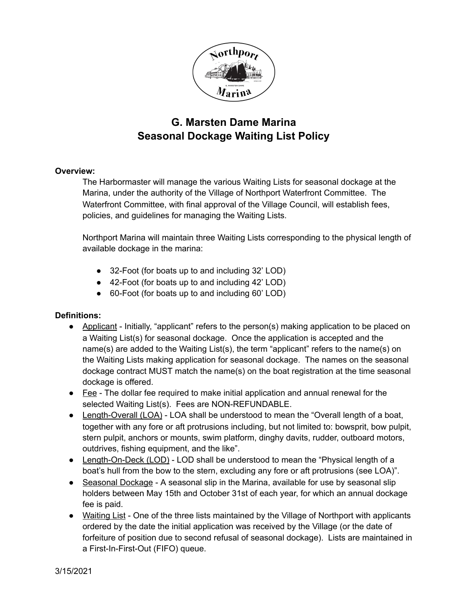

## **G. Marsten Dame Marina Seasonal Dockage Waiting List Policy**

## **Overview:**

The Harbormaster will manage the various Waiting Lists for seasonal dockage at the Marina, under the authority of the Village of Northport Waterfront Committee. The Waterfront Committee, with final approval of the Village Council, will establish fees, policies, and guidelines for managing the Waiting Lists.

Northport Marina will maintain three Waiting Lists corresponding to the physical length of available dockage in the marina:

- 32-Foot (for boats up to and including 32' LOD)
- 42-Foot (for boats up to and including 42' LOD)
- 60-Foot (for boats up to and including 60' LOD)

## **Definitions:**

- Applicant Initially, "applicant" refers to the person(s) making application to be placed on a Waiting List(s) for seasonal dockage. Once the application is accepted and the name(s) are added to the Waiting List(s), the term "applicant" refers to the name(s) on the Waiting Lists making application for seasonal dockage. The names on the seasonal dockage contract MUST match the name(s) on the boat registration at the time seasonal dockage is offered.
- Fee The dollar fee required to make initial application and annual renewal for the selected Waiting List(s). Fees are NON-REFUNDABLE.
- Length-Overall (LOA) LOA shall be understood to mean the "Overall length of a boat, together with any fore or aft protrusions including, but not limited to: bowsprit, bow pulpit, stern pulpit, anchors or mounts, swim platform, dinghy davits, rudder, outboard motors, outdrives, fishing equipment, and the like".
- Length-On-Deck (LOD) LOD shall be understood to mean the "Physical length of a boat's hull from the bow to the stern, excluding any fore or aft protrusions (see LOA)".
- Seasonal Dockage A seasonal slip in the Marina, available for use by seasonal slip holders between May 15th and October 31st of each year, for which an annual dockage fee is paid.
- Waiting List One of the three lists maintained by the Village of Northport with applicants ordered by the date the initial application was received by the Village (or the date of forfeiture of position due to second refusal of seasonal dockage). Lists are maintained in a First-In-First-Out (FIFO) queue.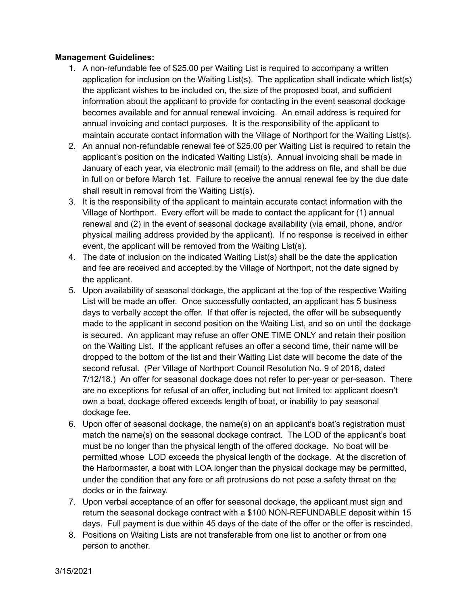## **Management Guidelines:**

- 1. A non-refundable fee of \$25.00 per Waiting List is required to accompany a written application for inclusion on the Waiting List(s). The application shall indicate which list(s) the applicant wishes to be included on, the size of the proposed boat, and sufficient information about the applicant to provide for contacting in the event seasonal dockage becomes available and for annual renewal invoicing. An email address is required for annual invoicing and contact purposes. It is the responsibility of the applicant to maintain accurate contact information with the Village of Northport for the Waiting List(s).
- 2. An annual non-refundable renewal fee of \$25.00 per Waiting List is required to retain the applicant's position on the indicated Waiting List(s). Annual invoicing shall be made in January of each year, via electronic mail (email) to the address on file, and shall be due in full on or before March 1st. Failure to receive the annual renewal fee by the due date shall result in removal from the Waiting List(s).
- 3. It is the responsibility of the applicant to maintain accurate contact information with the Village of Northport. Every effort will be made to contact the applicant for (1) annual renewal and (2) in the event of seasonal dockage availability (via email, phone, and/or physical mailing address provided by the applicant). If no response is received in either event, the applicant will be removed from the Waiting List(s).
- 4. The date of inclusion on the indicated Waiting List(s) shall be the date the application and fee are received and accepted by the Village of Northport, not the date signed by the applicant.
- 5. Upon availability of seasonal dockage, the applicant at the top of the respective Waiting List will be made an offer. Once successfully contacted, an applicant has 5 business days to verbally accept the offer. If that offer is rejected, the offer will be subsequently made to the applicant in second position on the Waiting List, and so on until the dockage is secured. An applicant may refuse an offer ONE TIME ONLY and retain their position on the Waiting List. If the applicant refuses an offer a second time, their name will be dropped to the bottom of the list and their Waiting List date will become the date of the second refusal. (Per Village of Northport Council Resolution No. 9 of 2018, dated 7/12/18.) An offer for seasonal dockage does not refer to per-year or per-season. There are no exceptions for refusal of an offer, including but not limited to: applicant doesn't own a boat, dockage offered exceeds length of boat, or inability to pay seasonal dockage fee.
- 6. Upon offer of seasonal dockage, the name(s) on an applicant's boat's registration must match the name(s) on the seasonal dockage contract. The LOD of the applicant's boat must be no longer than the physical length of the offered dockage. No boat will be permitted whose LOD exceeds the physical length of the dockage. At the discretion of the Harbormaster, a boat with LOA longer than the physical dockage may be permitted, under the condition that any fore or aft protrusions do not pose a safety threat on the docks or in the fairway.
- 7. Upon verbal acceptance of an offer for seasonal dockage, the applicant must sign and return the seasonal dockage contract with a \$100 NON-REFUNDABLE deposit within 15 days. Full payment is due within 45 days of the date of the offer or the offer is rescinded.
- 8. Positions on Waiting Lists are not transferable from one list to another or from one person to another.